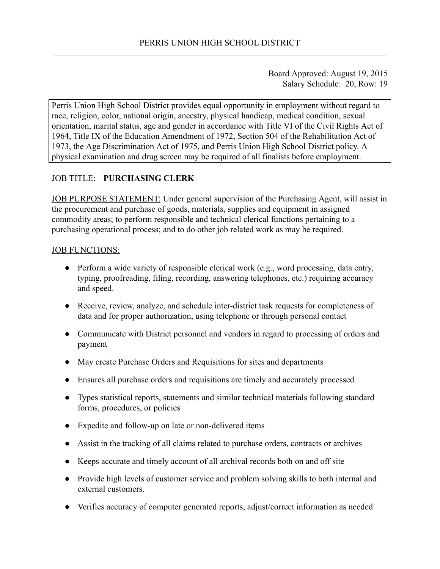Board Approved: August 19, 2015 Salary Schedule: 20, Row: 19

Perris Union High School District provides equal opportunity in employment without regard to race, religion, color, national origin, ancestry, physical handicap, medical condition, sexual orientation, marital status, age and gender in accordance with Title VI of the Civil Rights Act of 1964, Title IX of the Education Amendment of 1972, Section 504 of the Rehabilitation Act of 1973, the Age Discrimination Act of 1975, and Perris Union High School District policy. A physical examination and drug screen may be required of all finalists before employment.

# JOB TITLE: **PURCHASING CLERK**

JOB PURPOSE STATEMENT: Under general supervision of the Purchasing Agent, will assist in the procurement and purchase of goods, materials, supplies and equipment in assigned commodity areas; to perform responsible and technical clerical functions pertaining to a purchasing operational process; and to do other job related work as may be required.

#### JOB FUNCTIONS:

- Perform a wide variety of responsible clerical work (e.g., word processing, data entry, typing, proofreading, filing, recording, answering telephones, etc.) requiring accuracy and speed.
- Receive, review, analyze, and schedule inter-district task requests for completeness of data and for proper authorization, using telephone or through personal contact
- Communicate with District personnel and vendors in regard to processing of orders and payment
- May create Purchase Orders and Requisitions for sites and departments
- Ensures all purchase orders and requisitions are timely and accurately processed
- Types statistical reports, statements and similar technical materials following standard forms, procedures, or policies
- Expedite and follow-up on late or non-delivered items
- Assist in the tracking of all claims related to purchase orders, contracts or archives
- Keeps accurate and timely account of all archival records both on and off site
- Provide high levels of customer service and problem solving skills to both internal and external customers.
- Verifies accuracy of computer generated reports, adjust/correct information as needed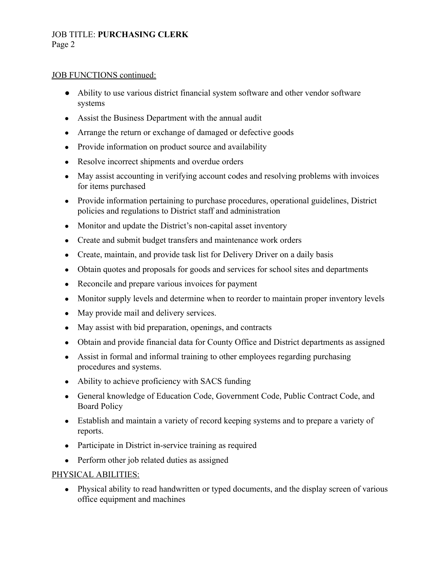## JOB TITLE: **PURCHASING CLERK** Page 2

#### JOB FUNCTIONS continued:

- Ability to use various district financial system software and other vendor software systems
- Assist the Business Department with the annual audit
- Arrange the return or exchange of damaged or defective goods
- Provide information on product source and availability
- Resolve incorrect shipments and overdue orders
- May assist accounting in verifying account codes and resolving problems with invoices for items purchased
- Provide information pertaining to purchase procedures, operational guidelines, District policies and regulations to District staff and administration
- Monitor and update the District's non-capital asset inventory
- Create and submit budget transfers and maintenance work orders
- Create, maintain, and provide task list for Delivery Driver on a daily basis
- Obtain quotes and proposals for goods and services for school sites and departments
- Reconcile and prepare various invoices for payment
- Monitor supply levels and determine when to reorder to maintain proper inventory levels
- May provide mail and delivery services.
- May assist with bid preparation, openings, and contracts
- Obtain and provide financial data for County Office and District departments as assigned
- Assist in formal and informal training to other employees regarding purchasing procedures and systems.
- Ability to achieve proficiency with SACS funding
- General knowledge of Education Code, Government Code, Public Contract Code, and Board Policy
- Establish and maintain a variety of record keeping systems and to prepare a variety of reports.
- Participate in District in-service training as required
- Perform other job related duties as assigned

### PHYSICAL ABILITIES:

• Physical ability to read handwritten or typed documents, and the display screen of various office equipment and machines